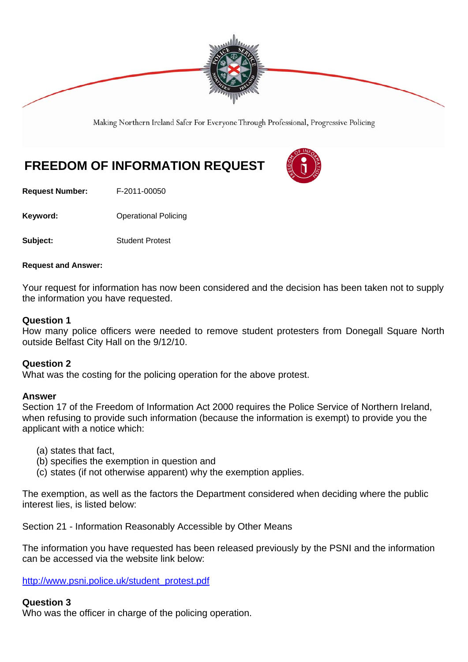

Making Northern Ireland Safer For Everyone Through Professional, Progressive Policing

# **FREEDOM OF INFORMATION REQUEST**

**Request Number:** F-2011-00050

**Keyword: Conservery Operational Policing** 

**Subject:** Student Protest

#### **Request and Answer:**

Your request for information has now been considered and the decision has been taken not to supply the information you have requested.

### **Question 1**

How many police officers were needed to remove student protesters from Donegall Square North outside Belfast City Hall on the 9/12/10.

## **Question 2**

What was the costing for the policing operation for the above protest.

## **Answer**

Section 17 of the Freedom of Information Act 2000 requires the Police Service of Northern Ireland, when refusing to provide such information (because the information is exempt) to provide you the applicant with a notice which:

- (a) states that fact,
- (b) specifies the exemption in question and
- (c) states (if not otherwise apparent) why the exemption applies.

The exemption, as well as the factors the Department considered when deciding where the public interest lies, is listed below:

Section 21 - Information Reasonably Accessible by Other Means

The information you have requested has been released previously by the PSNI and the information can be accessed via the website link below:

http://www.psni.police.uk/student\_protest.pdf

### **Question 3**

Who was the officer in charge of the policing operation.